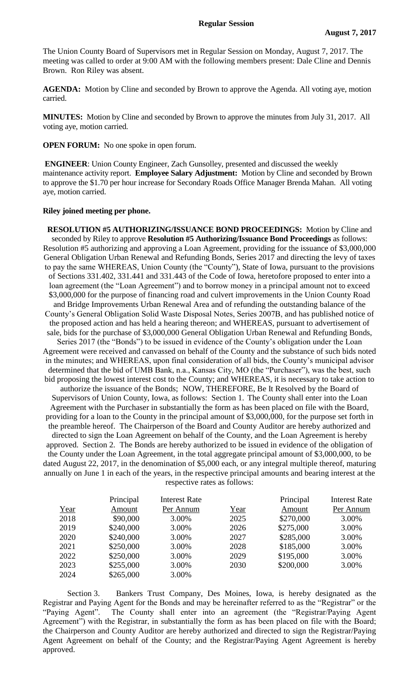The Union County Board of Supervisors met in Regular Session on Monday, August 7, 2017. The meeting was called to order at 9:00 AM with the following members present: Dale Cline and Dennis Brown. Ron Riley was absent.

**AGENDA:** Motion by Cline and seconded by Brown to approve the Agenda. All voting aye, motion carried.

**MINUTES:** Motion by Cline and seconded by Brown to approve the minutes from July 31, 2017. All voting aye, motion carried.

**OPEN FORUM:** No one spoke in open forum.

**ENGINEER**: Union County Engineer, Zach Gunsolley, presented and discussed the weekly maintenance activity report. **Employee Salary Adjustment:** Motion by Cline and seconded by Brown to approve the \$1.70 per hour increase for Secondary Roads Office Manager Brenda Mahan. All voting aye, motion carried.

## **Riley joined meeting per phone.**

**RESOLUTION #5 AUTHORIZING/ISSUANCE BOND PROCEEDINGS:** Motion by Cline and seconded by Riley to approve **Resolution #5 Authorizing/Issuance Bond Proceedings** as follows: Resolution #5 authorizing and approving a Loan Agreement, providing for the issuance of \$3,000,000 General Obligation Urban Renewal and Refunding Bonds, Series 2017 and directing the levy of taxes to pay the same WHEREAS, Union County (the "County"), State of Iowa, pursuant to the provisions of Sections 331.402, 331.441 and 331.443 of the Code of Iowa, heretofore proposed to enter into a loan agreement (the "Loan Agreement") and to borrow money in a principal amount not to exceed \$3,000,000 for the purpose of financing road and culvert improvements in the Union County Road and Bridge Improvements Urban Renewal Area and of refunding the outstanding balance of the County's General Obligation Solid Waste Disposal Notes, Series 2007B, and has published notice of the proposed action and has held a hearing thereon; and WHEREAS, pursuant to advertisement of sale, bids for the purchase of \$3,000,000 General Obligation Urban Renewal and Refunding Bonds, Series 2017 (the "Bonds") to be issued in evidence of the County's obligation under the Loan Agreement were received and canvassed on behalf of the County and the substance of such bids noted in the minutes; and WHEREAS, upon final consideration of all bids, the County's municipal advisor determined that the bid of UMB Bank, n.a., Kansas City, MO (the "Purchaser"), was the best, such bid proposing the lowest interest cost to the County; and WHEREAS, it is necessary to take action to authorize the issuance of the Bonds; NOW, THEREFORE, Be It Resolved by the Board of Supervisors of Union County, Iowa, as follows: Section 1. The County shall enter into the Loan Agreement with the Purchaser in substantially the form as has been placed on file with the Board, providing for a loan to the County in the principal amount of \$3,000,000, for the purpose set forth in the preamble hereof. The Chairperson of the Board and County Auditor are hereby authorized and directed to sign the Loan Agreement on behalf of the County, and the Loan Agreement is hereby approved. Section 2. The Bonds are hereby authorized to be issued in evidence of the obligation of the County under the Loan Agreement, in the total aggregate principal amount of \$3,000,000, to be dated August 22, 2017, in the denomination of \$5,000 each, or any integral multiple thereof, maturing annually on June 1 in each of the years, in the respective principal amounts and bearing interest at the respective rates as follows:

|      | Principal | <b>Interest Rate</b> |      | Principal | Interest Rate |
|------|-----------|----------------------|------|-----------|---------------|
| Year | Amount    | Per Annum            | Year | Amount    | Per Annum     |
| 2018 | \$90,000  | 3.00%                | 2025 | \$270,000 | 3.00%         |
| 2019 | \$240,000 | 3.00%                | 2026 | \$275,000 | 3.00%         |
| 2020 | \$240,000 | 3.00%                | 2027 | \$285,000 | 3.00%         |
| 2021 | \$250,000 | 3.00%                | 2028 | \$185,000 | 3.00%         |
| 2022 | \$250,000 | 3.00%                | 2029 | \$195,000 | 3.00%         |
| 2023 | \$255,000 | 3.00%                | 2030 | \$200,000 | 3.00%         |
| 2024 | \$265,000 | 3.00%                |      |           |               |

Section 3. Bankers Trust Company, Des Moines, Iowa, is hereby designated as the Registrar and Paying Agent for the Bonds and may be hereinafter referred to as the "Registrar" or the "Paying Agent". The County shall enter into an agreement (the "Registrar/Paying Agent Agreement") with the Registrar, in substantially the form as has been placed on file with the Board; the Chairperson and County Auditor are hereby authorized and directed to sign the Registrar/Paying Agent Agreement on behalf of the County; and the Registrar/Paying Agent Agreement is hereby approved.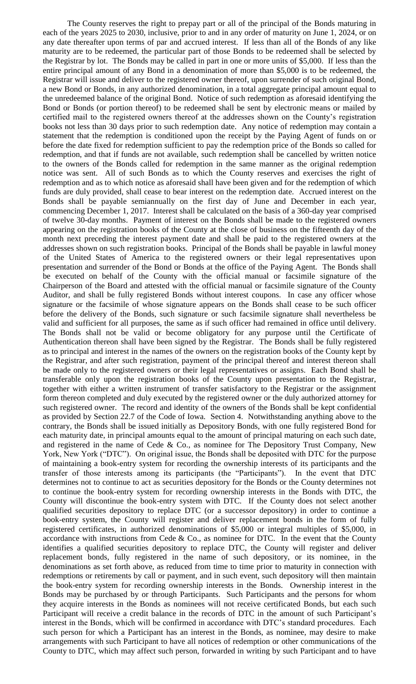The County reserves the right to prepay part or all of the principal of the Bonds maturing in each of the years 2025 to 2030, inclusive, prior to and in any order of maturity on June 1, 2024, or on any date thereafter upon terms of par and accrued interest. If less than all of the Bonds of any like maturity are to be redeemed, the particular part of those Bonds to be redeemed shall be selected by the Registrar by lot. The Bonds may be called in part in one or more units of \$5,000. If less than the entire principal amount of any Bond in a denomination of more than \$5,000 is to be redeemed, the Registrar will issue and deliver to the registered owner thereof, upon surrender of such original Bond, a new Bond or Bonds, in any authorized denomination, in a total aggregate principal amount equal to the unredeemed balance of the original Bond. Notice of such redemption as aforesaid identifying the Bond or Bonds (or portion thereof) to be redeemed shall be sent by electronic means or mailed by certified mail to the registered owners thereof at the addresses shown on the County's registration books not less than 30 days prior to such redemption date. Any notice of redemption may contain a statement that the redemption is conditioned upon the receipt by the Paying Agent of funds on or before the date fixed for redemption sufficient to pay the redemption price of the Bonds so called for redemption, and that if funds are not available, such redemption shall be cancelled by written notice to the owners of the Bonds called for redemption in the same manner as the original redemption notice was sent. All of such Bonds as to which the County reserves and exercises the right of redemption and as to which notice as aforesaid shall have been given and for the redemption of which funds are duly provided, shall cease to bear interest on the redemption date. Accrued interest on the Bonds shall be payable semiannually on the first day of June and December in each year, commencing December 1, 2017. Interest shall be calculated on the basis of a 360-day year comprised of twelve 30-day months. Payment of interest on the Bonds shall be made to the registered owners appearing on the registration books of the County at the close of business on the fifteenth day of the month next preceding the interest payment date and shall be paid to the registered owners at the addresses shown on such registration books. Principal of the Bonds shall be payable in lawful money of the United States of America to the registered owners or their legal representatives upon presentation and surrender of the Bond or Bonds at the office of the Paying Agent. The Bonds shall be executed on behalf of the County with the official manual or facsimile signature of the Chairperson of the Board and attested with the official manual or facsimile signature of the County Auditor, and shall be fully registered Bonds without interest coupons. In case any officer whose signature or the facsimile of whose signature appears on the Bonds shall cease to be such officer before the delivery of the Bonds, such signature or such facsimile signature shall nevertheless be valid and sufficient for all purposes, the same as if such officer had remained in office until delivery. The Bonds shall not be valid or become obligatory for any purpose until the Certificate of Authentication thereon shall have been signed by the Registrar. The Bonds shall be fully registered as to principal and interest in the names of the owners on the registration books of the County kept by the Registrar, and after such registration, payment of the principal thereof and interest thereon shall be made only to the registered owners or their legal representatives or assigns. Each Bond shall be transferable only upon the registration books of the County upon presentation to the Registrar, together with either a written instrument of transfer satisfactory to the Registrar or the assignment form thereon completed and duly executed by the registered owner or the duly authorized attorney for such registered owner. The record and identity of the owners of the Bonds shall be kept confidential as provided by Section 22.7 of the Code of Iowa. Section 4. Notwithstanding anything above to the contrary, the Bonds shall be issued initially as Depository Bonds, with one fully registered Bond for each maturity date, in principal amounts equal to the amount of principal maturing on each such date, and registered in the name of Cede & Co., as nominee for The Depository Trust Company, New York, New York ("DTC"). On original issue, the Bonds shall be deposited with DTC for the purpose of maintaining a book-entry system for recording the ownership interests of its participants and the transfer of those interests among its participants (the "Participants"). In the event that DTC determines not to continue to act as securities depository for the Bonds or the County determines not to continue the book-entry system for recording ownership interests in the Bonds with DTC, the County will discontinue the book-entry system with DTC. If the County does not select another qualified securities depository to replace DTC (or a successor depository) in order to continue a book-entry system, the County will register and deliver replacement bonds in the form of fully registered certificates, in authorized denominations of \$5,000 or integral multiples of \$5,000, in accordance with instructions from Cede  $& Co.,$  as nominee for DTC. In the event that the County identifies a qualified securities depository to replace DTC, the County will register and deliver replacement bonds, fully registered in the name of such depository, or its nominee, in the denominations as set forth above, as reduced from time to time prior to maturity in connection with redemptions or retirements by call or payment, and in such event, such depository will then maintain the book-entry system for recording ownership interests in the Bonds. Ownership interest in the Bonds may be purchased by or through Participants. Such Participants and the persons for whom they acquire interests in the Bonds as nominees will not receive certificated Bonds, but each such Participant will receive a credit balance in the records of DTC in the amount of such Participant's interest in the Bonds, which will be confirmed in accordance with DTC's standard procedures. Each such person for which a Participant has an interest in the Bonds, as nominee, may desire to make arrangements with such Participant to have all notices of redemption or other communications of the County to DTC, which may affect such person, forwarded in writing by such Participant and to have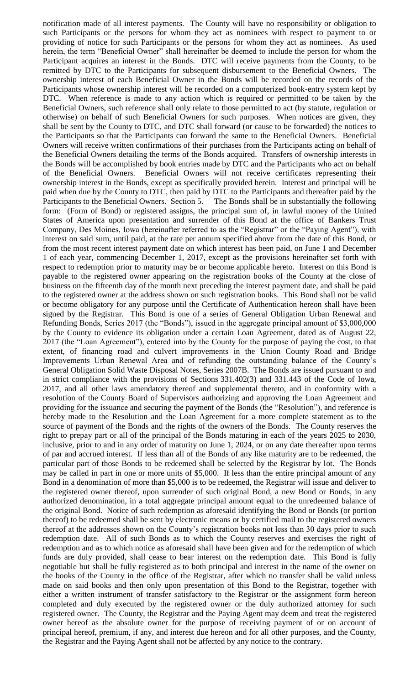notification made of all interest payments. The County will have no responsibility or obligation to such Participants or the persons for whom they act as nominees with respect to payment to or providing of notice for such Participants or the persons for whom they act as nominees. As used herein, the term "Beneficial Owner" shall hereinafter be deemed to include the person for whom the Participant acquires an interest in the Bonds. DTC will receive payments from the County, to be remitted by DTC to the Participants for subsequent disbursement to the Beneficial Owners. The ownership interest of each Beneficial Owner in the Bonds will be recorded on the records of the Participants whose ownership interest will be recorded on a computerized book-entry system kept by DTC. When reference is made to any action which is required or permitted to be taken by the Beneficial Owners, such reference shall only relate to those permitted to act (by statute, regulation or otherwise) on behalf of such Beneficial Owners for such purposes. When notices are given, they shall be sent by the County to DTC, and DTC shall forward (or cause to be forwarded) the notices to the Participants so that the Participants can forward the same to the Beneficial Owners. Beneficial Owners will receive written confirmations of their purchases from the Participants acting on behalf of the Beneficial Owners detailing the terms of the Bonds acquired. Transfers of ownership interests in the Bonds will be accomplished by book entries made by DTC and the Participants who act on behalf of the Beneficial Owners. Beneficial Owners will not receive certificates representing their ownership interest in the Bonds, except as specifically provided herein. Interest and principal will be paid when due by the County to DTC, then paid by DTC to the Participants and thereafter paid by the Participants to the Beneficial Owners. Section 5. The Bonds shall be in substantially the following form: (Form of Bond) or registered assigns, the principal sum of, in lawful money of the United States of America upon presentation and surrender of this Bond at the office of Bankers Trust Company, Des Moines, Iowa (hereinafter referred to as the "Registrar" or the "Paying Agent"), with interest on said sum, until paid, at the rate per annum specified above from the date of this Bond, or from the most recent interest payment date on which interest has been paid, on June 1 and December 1 of each year, commencing December 1, 2017, except as the provisions hereinafter set forth with respect to redemption prior to maturity may be or become applicable hereto. Interest on this Bond is payable to the registered owner appearing on the registration books of the County at the close of business on the fifteenth day of the month next preceding the interest payment date, and shall be paid to the registered owner at the address shown on such registration books. This Bond shall not be valid or become obligatory for any purpose until the Certificate of Authentication hereon shall have been signed by the Registrar. This Bond is one of a series of General Obligation Urban Renewal and Refunding Bonds, Series 2017 (the "Bonds"), issued in the aggregate principal amount of \$3,000,000 by the County to evidence its obligation under a certain Loan Agreement, dated as of August 22, 2017 (the "Loan Agreement"), entered into by the County for the purpose of paying the cost, to that extent, of financing road and culvert improvements in the Union County Road and Bridge Improvements Urban Renewal Area and of refunding the outstanding balance of the County's General Obligation Solid Waste Disposal Notes, Series 2007B. The Bonds are issued pursuant to and in strict compliance with the provisions of Sections 331.402(3) and 331.443 of the Code of Iowa, 2017, and all other laws amendatory thereof and supplemental thereto, and in conformity with a resolution of the County Board of Supervisors authorizing and approving the Loan Agreement and providing for the issuance and securing the payment of the Bonds (the "Resolution"), and reference is hereby made to the Resolution and the Loan Agreement for a more complete statement as to the source of payment of the Bonds and the rights of the owners of the Bonds. The County reserves the right to prepay part or all of the principal of the Bonds maturing in each of the years 2025 to 2030, inclusive, prior to and in any order of maturity on June 1, 2024, or on any date thereafter upon terms of par and accrued interest. If less than all of the Bonds of any like maturity are to be redeemed, the particular part of those Bonds to be redeemed shall be selected by the Registrar by lot. The Bonds may be called in part in one or more units of \$5,000. If less than the entire principal amount of any Bond in a denomination of more than \$5,000 is to be redeemed, the Registrar will issue and deliver to the registered owner thereof, upon surrender of such original Bond, a new Bond or Bonds, in any authorized denomination, in a total aggregate principal amount equal to the unredeemed balance of the original Bond. Notice of such redemption as aforesaid identifying the Bond or Bonds (or portion thereof) to be redeemed shall be sent by electronic means or by certified mail to the registered owners thereof at the addresses shown on the County's registration books not less than 30 days prior to such redemption date. All of such Bonds as to which the County reserves and exercises the right of redemption and as to which notice as aforesaid shall have been given and for the redemption of which funds are duly provided, shall cease to bear interest on the redemption date. This Bond is fully negotiable but shall be fully registered as to both principal and interest in the name of the owner on the books of the County in the office of the Registrar, after which no transfer shall be valid unless made on said books and then only upon presentation of this Bond to the Registrar, together with either a written instrument of transfer satisfactory to the Registrar or the assignment form hereon completed and duly executed by the registered owner or the duly authorized attorney for such registered owner. The County, the Registrar and the Paying Agent may deem and treat the registered owner hereof as the absolute owner for the purpose of receiving payment of or on account of principal hereof, premium, if any, and interest due hereon and for all other purposes, and the County, the Registrar and the Paying Agent shall not be affected by any notice to the contrary.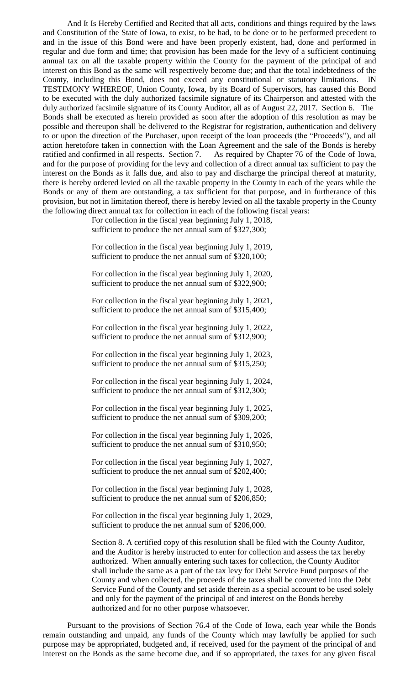And It Is Hereby Certified and Recited that all acts, conditions and things required by the laws and Constitution of the State of Iowa, to exist, to be had, to be done or to be performed precedent to and in the issue of this Bond were and have been properly existent, had, done and performed in regular and due form and time; that provision has been made for the levy of a sufficient continuing annual tax on all the taxable property within the County for the payment of the principal of and interest on this Bond as the same will respectively become due; and that the total indebtedness of the County, including this Bond, does not exceed any constitutional or statutory limitations. IN TESTIMONY WHEREOF, Union County, Iowa, by its Board of Supervisors, has caused this Bond to be executed with the duly authorized facsimile signature of its Chairperson and attested with the duly authorized facsimile signature of its County Auditor, all as of August 22, 2017. Section 6. The Bonds shall be executed as herein provided as soon after the adoption of this resolution as may be possible and thereupon shall be delivered to the Registrar for registration, authentication and delivery to or upon the direction of the Purchaser, upon receipt of the loan proceeds (the "Proceeds"), and all action heretofore taken in connection with the Loan Agreement and the sale of the Bonds is hereby ratified and confirmed in all respects. Section 7. As required by Chapter 76 of the Code of Iowa, and for the purpose of providing for the levy and collection of a direct annual tax sufficient to pay the interest on the Bonds as it falls due, and also to pay and discharge the principal thereof at maturity, there is hereby ordered levied on all the taxable property in the County in each of the years while the Bonds or any of them are outstanding, a tax sufficient for that purpose, and in furtherance of this provision, but not in limitation thereof, there is hereby levied on all the taxable property in the County the following direct annual tax for collection in each of the following fiscal years:

> For collection in the fiscal year beginning July 1, 2018, sufficient to produce the net annual sum of \$327,300;

> For collection in the fiscal year beginning July 1, 2019, sufficient to produce the net annual sum of \$320,100;

> For collection in the fiscal year beginning July 1, 2020, sufficient to produce the net annual sum of \$322,900;

> For collection in the fiscal year beginning July 1, 2021, sufficient to produce the net annual sum of \$315,400;

> For collection in the fiscal year beginning July 1, 2022, sufficient to produce the net annual sum of \$312,900;

> For collection in the fiscal year beginning July 1, 2023, sufficient to produce the net annual sum of \$315,250;

> For collection in the fiscal year beginning July 1, 2024, sufficient to produce the net annual sum of \$312,300;

> For collection in the fiscal year beginning July 1, 2025, sufficient to produce the net annual sum of \$309,200;

> For collection in the fiscal year beginning July 1, 2026, sufficient to produce the net annual sum of \$310,950;

> For collection in the fiscal year beginning July 1, 2027, sufficient to produce the net annual sum of \$202,400;

> For collection in the fiscal year beginning July 1, 2028, sufficient to produce the net annual sum of \$206,850;

> For collection in the fiscal year beginning July 1, 2029, sufficient to produce the net annual sum of \$206,000.

Section 8. A certified copy of this resolution shall be filed with the County Auditor, and the Auditor is hereby instructed to enter for collection and assess the tax hereby authorized. When annually entering such taxes for collection, the County Auditor shall include the same as a part of the tax levy for Debt Service Fund purposes of the County and when collected, the proceeds of the taxes shall be converted into the Debt Service Fund of the County and set aside therein as a special account to be used solely and only for the payment of the principal of and interest on the Bonds hereby authorized and for no other purpose whatsoever.

Pursuant to the provisions of Section 76.4 of the Code of Iowa, each year while the Bonds remain outstanding and unpaid, any funds of the County which may lawfully be applied for such purpose may be appropriated, budgeted and, if received, used for the payment of the principal of and interest on the Bonds as the same become due, and if so appropriated, the taxes for any given fiscal